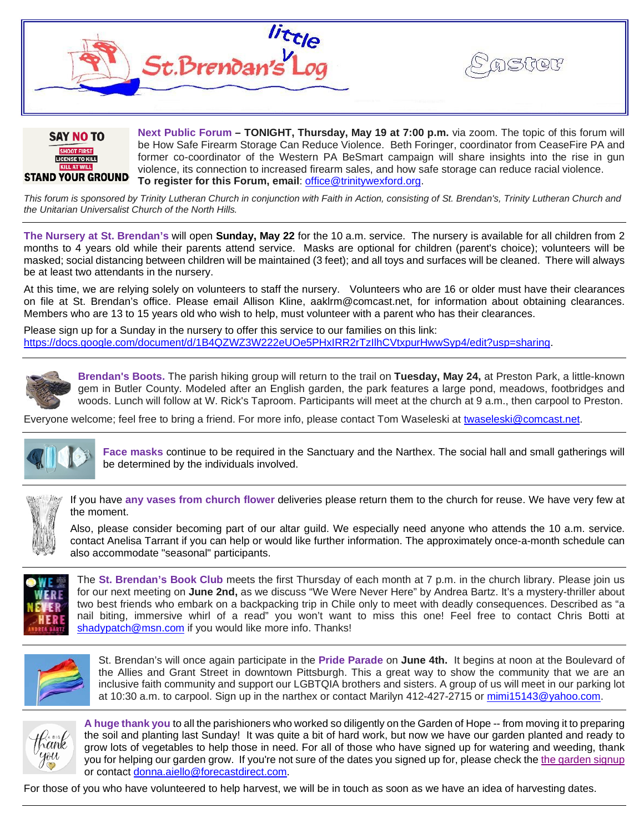



**Next Public Forum – TONIGHT, Thursday, May 19 at 7:00 p.m.** via zoom. The topic of this forum will be How Safe Firearm Storage Can Reduce Violence. Beth Foringer, coordinator from CeaseFire PA and former co-coordinator of the Western PA BeSmart campaign will share insights into the rise in gun violence, its connection to increased firearm sales, and how safe storage can reduce racial violence. **To register for this Forum, email**: [office@trinitywexford.org.](mailto:office@trinitywexford.org)

*This forum is sponsored by Trinity Lutheran Church in conjunction with Faith in Action, consisting of St. Brendan's, Trinity Lutheran Church and the Unitarian Universalist Church of the North Hills.*

**The Nursery at St. Brendan's** will open **Sunday, May 22** for the 10 a.m. service. The nursery is available for all children from 2 months to 4 years old while their parents attend service. Masks are optional for children (parent's choice); volunteers will be masked; social distancing between children will be maintained (3 feet); and all toys and surfaces will be cleaned. There will always be at least two attendants in the nursery.

At this time, we are relying solely on volunteers to staff the nursery. Volunteers who are 16 or older must have their clearances on file at St. Brendan's office. Please email Allison Kline, aaklrm@comcast.net, for information about obtaining clearances. Members who are 13 to 15 years old who wish to help, must volunteer with a parent who has their clearances.

Please sign up for a Sunday in the nursery to offer this service to our families on this link: [https://docs.google.com/document/d/1B4QZWZ3W222eUOe5PHxIRR2rTzIlhCVtxpurHwwSyp4/edit?usp=sharing.](https://docs.google.com/document/d/1B4QZWZ3W222eUOe5PHxIRR2rTzIlhCVtxpurHwwSyp4/edit?usp=sharing)



**Brendan's Boots.** The parish hiking group will return to the trail on **Tuesday, May 24,** at Preston Park, a little-known gem in Butler County. Modeled after an English garden, the park features a large pond, meadows, footbridges and woods. Lunch will follow at W. Rick's Taproom. Participants will meet at the church at 9 a.m., then carpool to Preston.

Everyone welcome; feel free to bring a friend. For more info, please contact Tom Waseleski at [twaseleski@comcast.net.](mailto:twaseleski@comcast.net)



**Face masks** continue to be required in the Sanctuary and the Narthex. The social hall and small gatherings will be determined by the individuals involved.



If you have **any vases from church flower** deliveries please return them to the church for reuse. We have very few at the moment.

Also, please consider becoming part of our altar guild. We especially need anyone who attends the 10 a.m. service. contact Anelisa Tarrant if you can help or would like further information. The approximately once-a-month schedule can also accommodate "seasonal" participants.



The **St. Brendan's Book Club** meets the first Thursday of each month at 7 p.m. in the church library. Please join us for our next meeting on **June 2nd,** as we discuss "We Were Never Here" by Andrea Bartz. It's a mystery-thriller about two best friends who embark on a backpacking trip in Chile only to meet with deadly consequences. Described as "a nail biting, immersive whirl of a read" you won't want to miss this one! Feel free to contact Chris Botti at [shadypatch@msn.com](mailto:shadypatch@msn.com) if you would like more info. Thanks!



St. Brendan's will once again participate in the **Pride Parade** on **June 4th.** It begins at noon at the Boulevard of the Allies and Grant Street in downtown Pittsburgh. This a great way to show the community that we are an inclusive faith community and support our LGBTQIA brothers and sisters. A group of us will meet in our parking lot at 10:30 a.m. to carpool. Sign up in the narthex or contact Marilyn 412-427-2715 or [mimi15143@yahoo.com.](mailto:mimi15143@yahoo.com)



**A huge thank you** to all the parishioners who worked so diligently on the Garden of Hope -- from moving it to preparing the soil and planting last Sunday! It was quite a bit of hard work, but now we have our garden planted and ready to grow lots of vegetables to help those in need. For all of those who have signed up for watering and weeding, thank you for helping our garden grow. If you're not sure of the dates you signed up for, please check the [the garden signup](https://docs.google.com/document/d/1YZ7ggrfn1sE1PF3zLPRQ84MFHEzxLP20JH45by9dIgw/edit) or contact [donna.aiello@forecastdirect.com.](mailto:donna.aiello@forecastdirect.com)

For those of you who have volunteered to help harvest, we will be in touch as soon as we have an idea of harvesting dates.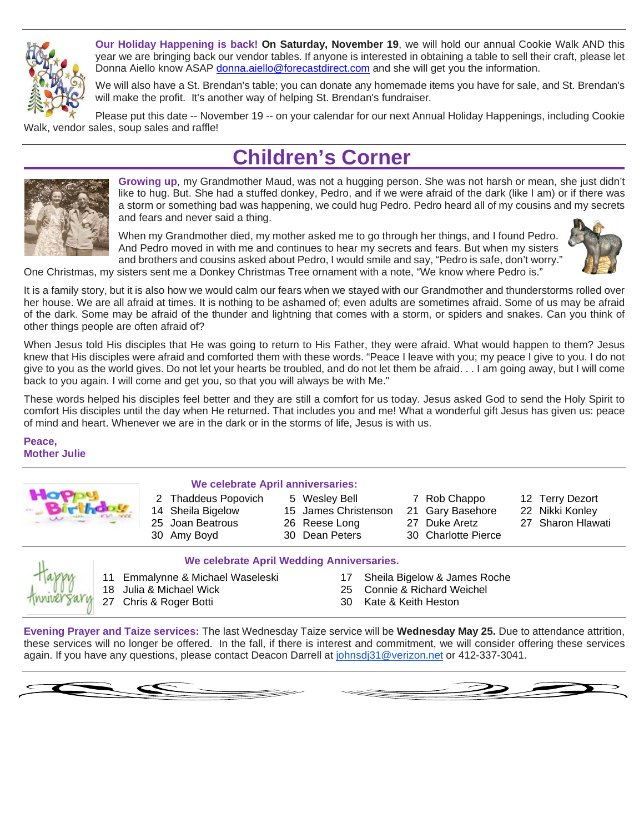

**Our Holiday Happening is back! On Saturday, November 19**, we will hold our annual Cookie Walk AND this year we are bringing back our vendor tables. If anyone is interested in obtaining a table to sell their craft, please let Donna Aiello know ASAP [donna.aiello@forecastdirect.com](mailto:donna.aiello@forecastdirect.com) and she will get you the information.

We will also have a St. Brendan's table; you can donate any homemade items you have for sale, and St. Brendan's will make the profit. It's another way of helping St. Brendan's fundraiser.

Please put this date -- November 19 -- on your calendar for our next Annual Holiday Happenings, including Cookie Walk, vendor sales, soup sales and raffle!

## **Children's Corner**



**Growing up**, my Grandmother Maud, was not a hugging person. She was not harsh or mean, she just didn't like to hug. But. She had a stuffed donkey, Pedro, and if we were afraid of the dark (like I am) or if there was a storm or something bad was happening, we could hug Pedro. Pedro heard all of my cousins and my secrets and fears and never said a thing.

When my Grandmother died, my mother asked me to go through her things, and I found Pedro. And Pedro moved in with me and continues to hear my secrets and fears. But when my sisters and brothers and cousins asked about Pedro, I would smile and say, "Pedro is safe, don't worry."



One Christmas, my sisters sent me a Donkey Christmas Tree ornament with a note, "We know where Pedro is."

It is a family story, but it is also how we would calm our fears when we stayed with our Grandmother and thunderstorms rolled over her house. We are all afraid at times. It is nothing to be ashamed of; even adults are sometimes afraid. Some of us may be afraid of the dark. Some may be afraid of the thunder and lightning that comes with a storm, or spiders and snakes. Can you think of other things people are often afraid of?

When Jesus told His disciples that He was going to return to His Father, they were afraid. What would happen to them? Jesus knew that His disciples were afraid and comforted them with these words. "Peace I leave with you; my peace I give to you. I do not give to you as the world gives. Do not let your hearts be troubled, and do not let them be afraid. . . I am going away, but I will come back to you again. I will come and get you, so that you will always be with Me."

These words helped his disciples feel better and they are still a comfort for us today. Jesus asked God to send the Holy Spirit to comfort His disciples until the day when He returned. That includes you and me! What a wonderful gift Jesus has given us: peace of mind and heart. Whenever we are in the dark or in the storms of life, Jesus is with us.

**Peace, Mother Julie**



## **We celebrate April anniversaries:**

- 30 Amy Boyd 30 Dean Peters 30 Charlotte Pierce
- 2 Thaddeus Popovich 5 Wesley Bell 7 Rob Chappo 12 Terry Dezort 14 Sheila Bigelow 15 James Christenson 21 Gary Basehore 22 Nikki Konley<br>25 Joan Beatrous 26 Reese Long 27 Duke Aretz 27 Sharon Hlaw 25 Joan Beatrous 26 Reese Long 27 Duke Aretz
- -
	-
	-
- 
- 
- 
- 

## **We celebrate April Wedding Anniversaries.**

- 11 Emmalynne & Michael Waseleski 17 Sheila Bigelow & James Roche<br>18 Julia & Michael Wick 18 September 25 Connie & Richard Weichel 27 Chris & Roger Botti 20 Chris & Roger Botti 30 Kate & Keith Heston
	-
	- Connie & Richard Weichel
	-

**Evening Prayer and Taize services:** The last Wednesday Taize service will be **Wednesday May 25.** Due to attendance attrition, these services will no longer be offered. In the fall, if there is interest and commitment, we will consider offering these services again. If you have any questions, please contact Deacon Darrell at [johnsdj31@verizon.net](mailto:johnsdj31@verizon.net) or 412-337-3041.

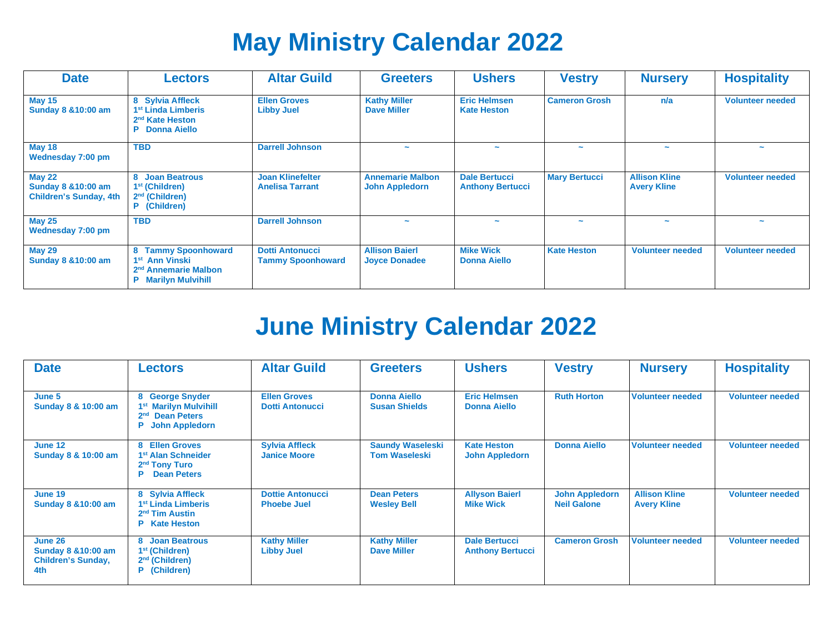# **May Ministry Calendar 2022**

| <b>Date</b>                                                                      | <b>Lectors</b>                                                                                                              | <b>Altar Guild</b>                                 | <b>Greeters</b>                                  | <b>Ushers</b>                                   | <b>Vestry</b>            | <b>Nursery</b>                             | <b>Hospitality</b>      |
|----------------------------------------------------------------------------------|-----------------------------------------------------------------------------------------------------------------------------|----------------------------------------------------|--------------------------------------------------|-------------------------------------------------|--------------------------|--------------------------------------------|-------------------------|
| <b>May 15</b><br><b>Sunday 8 &amp; 10:00 am</b>                                  | 8 Sylvia Affleck<br>1 <sup>st</sup> Linda Limberis<br>2 <sup>nd</sup> Kate Heston<br>P<br><b>Donna Aiello</b>               | <b>Ellen Groves</b><br><b>Libby Juel</b>           | <b>Kathy Miller</b><br><b>Dave Miller</b>        | <b>Eric Helmsen</b><br><b>Kate Heston</b>       | <b>Cameron Grosh</b>     | n/a                                        | <b>Volunteer needed</b> |
| <b>May 18</b><br>Wednesday 7:00 pm                                               | <b>TBD</b>                                                                                                                  | <b>Darrell Johnson</b>                             | $\tilde{\phantom{a}}$                            | $\overline{\phantom{a}}$                        | $\overline{\phantom{a}}$ | $\sim$                                     | $\tilde{\phantom{a}}$   |
| <b>May 22</b><br><b>Sunday 8 &amp; 10:00 am</b><br><b>Children's Sunday, 4th</b> | <b>Joan Beatrous</b><br>1 <sup>st</sup> (Children)<br>$2nd$ (Children)<br>P (Children)                                      | <b>Joan Klinefelter</b><br><b>Anelisa Tarrant</b>  | <b>Annemarie Malbon</b><br><b>John Appledorn</b> | <b>Dale Bertucci</b><br><b>Anthony Bertucci</b> | <b>Mary Bertucci</b>     | <b>Allison Kline</b><br><b>Avery Kline</b> | <b>Volunteer needed</b> |
| <b>May 25</b><br>Wednesday 7:00 pm                                               | <b>TBD</b>                                                                                                                  | <b>Darrell Johnson</b>                             | $\tilde{\phantom{a}}$                            | $\overline{\phantom{a}}$                        | $\overline{\phantom{a}}$ |                                            |                         |
| <b>May 29</b><br><b>Sunday 8 &amp; 10:00 am</b>                                  | <b>Tammy Spoonhoward</b><br>1 <sup>st</sup> Ann Vinski<br>2 <sup>nd</sup> Annemarie Malbon<br><b>Marilyn Mulvihill</b><br>P | <b>Dotti Antonucci</b><br><b>Tammy Spoonhoward</b> | <b>Allison Baierl</b><br><b>Joyce Donadee</b>    | <b>Mike Wick</b><br><b>Donna Aiello</b>         | <b>Kate Heston</b>       | <b>Volunteer needed</b>                    | <b>Volunteer needed</b> |

## **June Ministry Calendar 2022**

| <b>Date</b>                                                                   | <b>Lectors</b>                                                                                                         | <b>Altar Guild</b>                            | <b>Greeters</b>                                 | <b>Ushers</b>                                   | <b>Vestry</b>                               | <b>Nursery</b>                             | <b>Hospitality</b>      |
|-------------------------------------------------------------------------------|------------------------------------------------------------------------------------------------------------------------|-----------------------------------------------|-------------------------------------------------|-------------------------------------------------|---------------------------------------------|--------------------------------------------|-------------------------|
| June 5<br>Sunday 8 & 10:00 am                                                 | 8 George Snyder<br>1 <sup>st</sup> Marilyn Mulvihill<br><b>Dean Peters</b><br>2 <sup>nd</sup><br><b>John Appledorn</b> | <b>Ellen Groves</b><br><b>Dotti Antonucci</b> | <b>Donna Aiello</b><br><b>Susan Shields</b>     | <b>Eric Helmsen</b><br><b>Donna Aiello</b>      | <b>Ruth Horton</b>                          | <b>Volunteer needed</b>                    | <b>Volunteer needed</b> |
| June 12<br>Sunday 8 & 10:00 am                                                | 8 Ellen Groves<br>1 <sup>st</sup> Alan Schneider<br>2 <sup>nd</sup> Tony Turo<br><b>Dean Peters</b><br>P.              | <b>Sylvia Affleck</b><br><b>Janice Moore</b>  | <b>Saundy Waseleski</b><br><b>Tom Waseleski</b> | <b>Kate Heston</b><br><b>John Appledorn</b>     | <b>Donna Aiello</b>                         | <b>Volunteer needed</b>                    | <b>Volunteer needed</b> |
| June 19<br><b>Sunday 8 &amp; 10:00 am</b>                                     | 8 Sylvia Affleck<br>1 <sup>st</sup> Linda Limberis<br>2 <sup>nd</sup> Tim Austin<br><b>P</b> Kate Heston               | <b>Dottie Antonucci</b><br><b>Phoebe Juel</b> | <b>Dean Peters</b><br><b>Wesley Bell</b>        | <b>Allyson Baierl</b><br><b>Mike Wick</b>       | <b>John Appledorn</b><br><b>Neil Galone</b> | <b>Allison Kline</b><br><b>Avery Kline</b> | <b>Volunteer needed</b> |
| June 26<br><b>Sunday 8 &amp; 10:00 am</b><br><b>Children's Sunday,</b><br>4th | 8 Joan Beatrous<br>1 <sup>st</sup> (Children)<br>$2nd$ (Children)<br>P (Children)                                      | <b>Kathy Miller</b><br><b>Libby Juel</b>      | <b>Kathy Miller</b><br><b>Dave Miller</b>       | <b>Dale Bertucci</b><br><b>Anthony Bertucci</b> | <b>Cameron Grosh</b>                        | <b>Volunteer needed</b>                    | <b>Volunteer needed</b> |